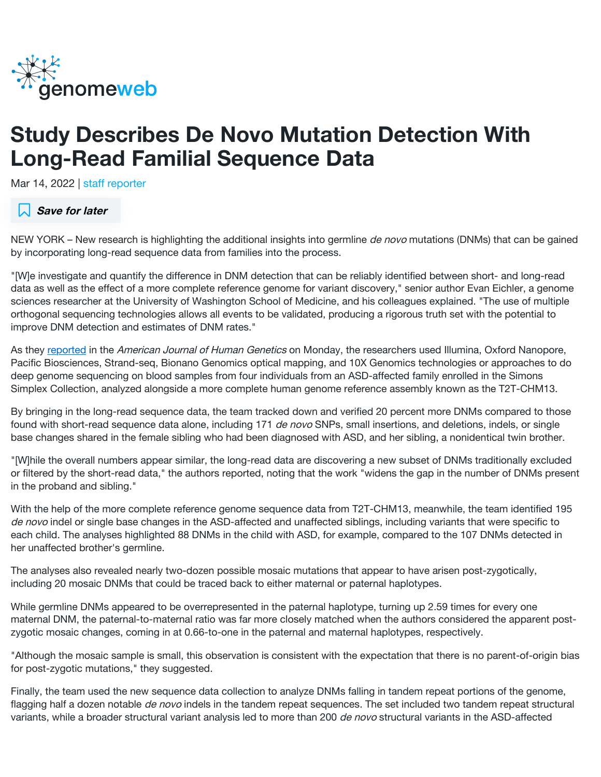

## Study Describes De Novo Mutation Detection With Long-Read Familial Sequence Data

Mar 14, 2022 | [staff reporter](https://www.genomeweb.com/about-us/our-staff/staff-reporter)



NEW YORK – New research is highlighting the additional insights into germline *de novo* mutations (DNMs) that can be gained by incorporating long-read sequence data from families into the process.

"[W]e investigate and quantify the difference in DNM detection that can be reliably identified between short- and long-read data as well as the effect of a more complete reference genome for variant discovery," senior author Evan Eichler, a genome sciences researcher at the University of Washington School of Medicine, and his colleagues explained. "The use of multiple orthogonal sequencing technologies allows all events to be validated, producing a rigorous truth set with the potential to improve DNM detection and estimates of DNM rates."

As they [reported](https://www.cell.com/ajhg/fulltext/S0002-9297(22)00065-9) in the American Journal of Human Genetics on Monday, the researchers used Illumina, Oxford Nanopore, Pacific Biosciences, Strand-seq, Bionano Genomics optical mapping, and 10X Genomics technologies or approaches to do deep genome sequencing on blood samples from four individuals from an ASD-affected family enrolled in the Simons Simplex Collection, analyzed alongside a more complete human genome reference assembly known as the T2T-CHM13.

By bringing in the long-read sequence data, the team tracked down and verified 20 percent more DNMs compared to those found with short-read sequence data alone, including 171 de novo SNPs, small insertions, and deletions, indels, or single base changes shared in the female sibling who had been diagnosed with ASD, and her sibling, a nonidentical twin brother.

"[W]hile the overall numbers appear similar, the long-read data are discovering a new subset of DNMs traditionally excluded or filtered by the short-read data," the authors reported, noting that the work "widens the gap in the number of DNMs present in the proband and sibling."

With the help of the more complete reference genome sequence data from T2T-CHM13, meanwhile, the team identified 195 de novo indel or single base changes in the ASD-affected and unaffected siblings, including variants that were specific to each child. The analyses highlighted 88 DNMs in the child with ASD, for example, compared to the 107 DNMs detected in her unaffected brother's germline.

The analyses also revealed nearly two-dozen possible mosaic mutations that appear to have arisen post-zygotically, including 20 mosaic DNMs that could be traced back to either maternal or paternal haplotypes.

While germline DNMs appeared to be overrepresented in the paternal haplotype, turning up 2.59 times for every one maternal DNM, the paternal-to-maternal ratio was far more closely matched when the authors considered the apparent postzygotic mosaic changes, coming in at 0.66-to-one in the paternal and maternal haplotypes, respectively.

"Although the mosaic sample is small, this observation is consistent with the expectation that there is no parent-of-origin bias for post-zygotic mutations," they suggested.

Finally, the team used the new sequence data collection to analyze DNMs falling in tandem repeat portions of the genome, flagging half a dozen notable *de novo* indels in the tandem repeat sequences. The set included two tandem repeat structural variants, while a broader structural variant analysis led to more than 200 de novo structural variants in the ASD-affected